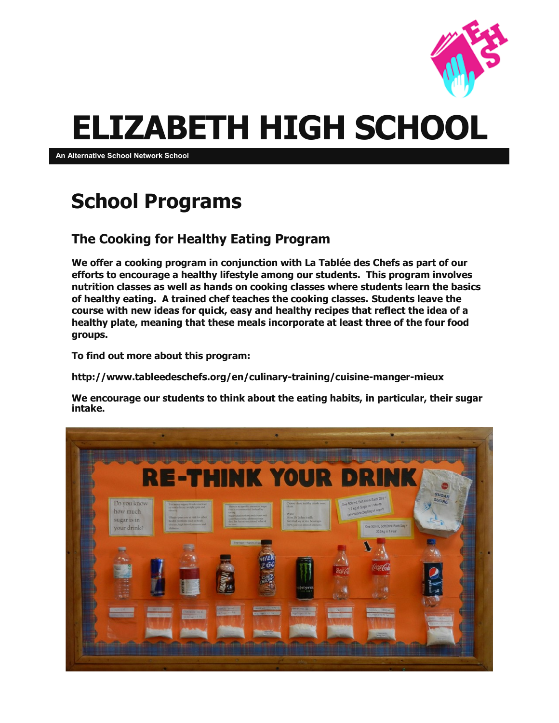

# **ELIZABETH HIGH SCHOOL**

**An Alternative School Network School**

### **School Programs**

#### **The Cooking for Healthy Eating Program**

**We offer a cooking program in conjunction with La Tablée des Chefs as part of our efforts to encourage a healthy lifestyle among our students. This program involves nutrition classes as well as hands on cooking classes where students learn the basics of healthy eating. A trained chef teaches the cooking classes. Students leave the course with new ideas for quick, easy and healthy recipes that reflect the idea of a healthy plate, meaning that these meals incorporate at least three of the four food groups.**

**To find out more about this program:**

**http://www.tableedeschefs.org/en/culinary-training/cuisine-manger-mieux**

**We encourage our students to think about the eating habits, in particular, their sugar intake.**

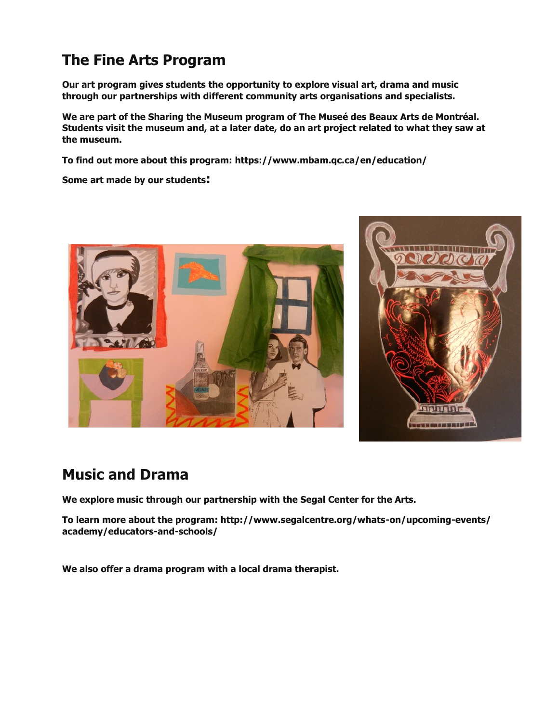#### **The Fine Arts Program**

**Our art program gives students the opportunity to explore visual art, drama and music through our partnerships with different community arts organisations and specialists.**

**We are part of the Sharing the Museum program of The Museé des Beaux Arts de Montréal. Students visit the museum and, at a later date, do an art project related to what they saw at the museum.**

**To find out more about this program: https://www.mbam.qc.ca/en/education/**

**Some art made by our students:**





#### **Music and Drama**

**We explore music through our partnership with the Segal Center for the Arts.**

**To learn more about the program: http://www.segalcentre.org/whats-on/upcoming-events/ academy/educators-and-schools/**

**We also offer a drama program with a local drama therapist.**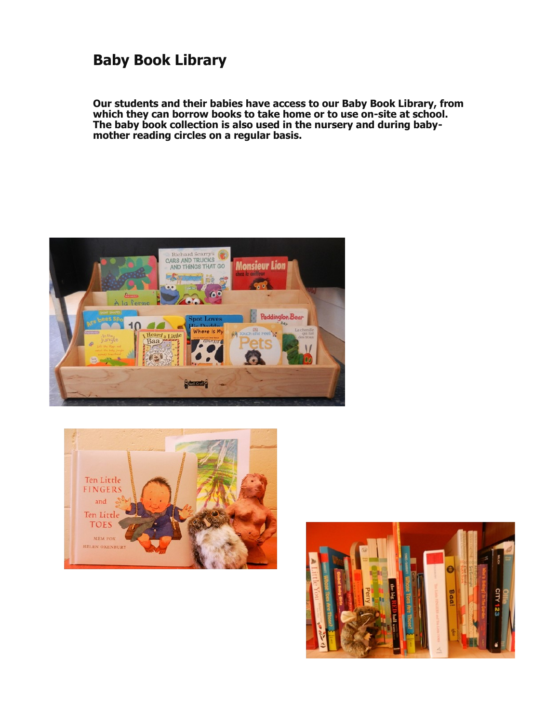#### **Baby Book Library**

**Our students and their babies have access to our Baby Book Library, from which they can borrow books to take home or to use on-site at school. The baby book collection is also used in the nursery and during babymother reading circles on a regular basis.**